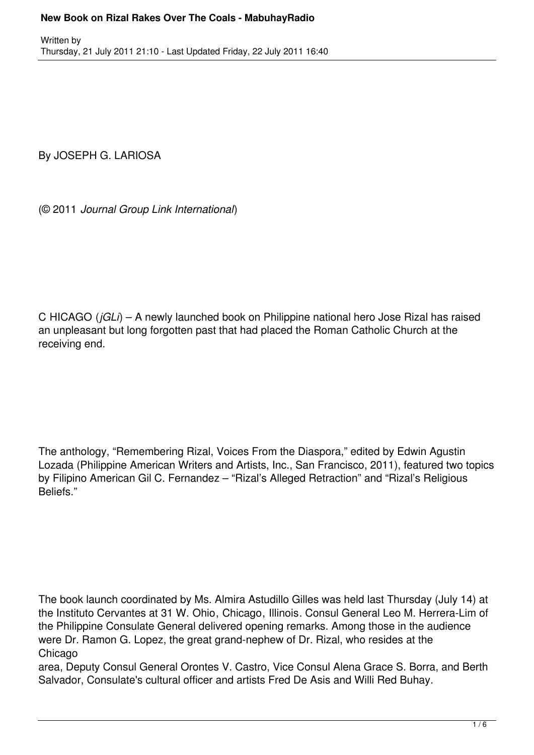By JOSEPH G. LARIOSA

(© 2011 *Journal Group Link International*)

C HICAGO (*jGLi*) – A newly launched book on Philippine national hero Jose Rizal has raised an unpleasant but long forgotten past that had placed the Roman Catholic Church at the receiving end.

The anthology, "Remembering Rizal, Voices From the Diaspora," edited by Edwin Agustin Lozada (Philippine American Writers and Artists, Inc., San Francisco, 2011), featured two topics by Filipino American Gil C. Fernandez – "Rizal's Alleged Retraction" and "Rizal's Religious Beliefs."

The book launch coordinated by Ms. Almira Astudillo Gilles was held last Thursday (July 14) at the Instituto Cervantes at 31 W. Ohio, Chicago, Illinois. Consul General Leo M. Herrera-Lim of the Philippine Consulate General delivered opening remarks. Among those in the audience were Dr. Ramon G. Lopez, the great grand-nephew of Dr. Rizal, who resides at the Chicago

area, Deputy Consul General Orontes V. Castro, Vice Consul Alena Grace S. Borra, and Berth Salvador, Consulate's cultural officer and artists Fred De Asis and Willi Red Buhay.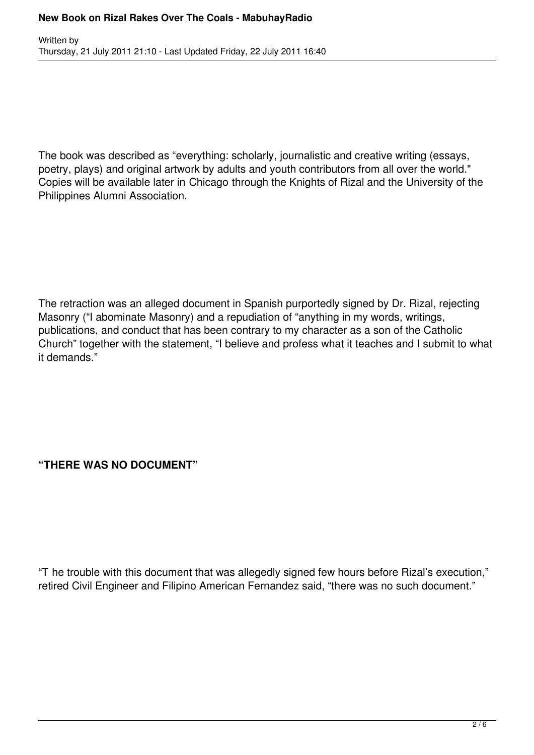The book was described as "everything: scholarly, journalistic and creative writing (essays, poetry, plays) and original artwork by adults and youth contributors from all over the world." Copies will be available later in Chicago through the Knights of Rizal and the University of the Philippines Alumni Association.

The retraction was an alleged document in Spanish purportedly signed by Dr. Rizal, rejecting Masonry ("I abominate Masonry) and a repudiation of "anything in my words, writings, publications, and conduct that has been contrary to my character as a son of the Catholic Church" together with the statement, "I believe and profess what it teaches and I submit to what it demands."

## **"THERE WAS NO DOCUMENT"**

"T he trouble with this document that was allegedly signed few hours before Rizal's execution," retired Civil Engineer and Filipino American Fernandez said, "there was no such document."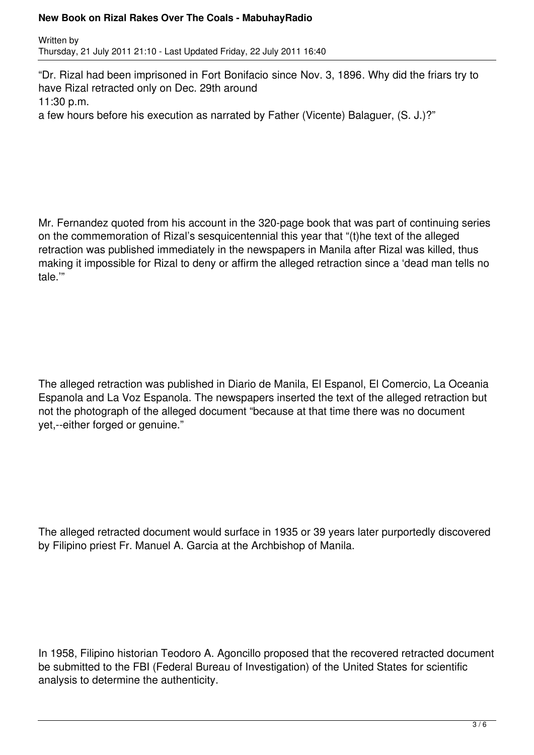### **New Book on Rizal Rakes Over The Coals - MabuhayRadio**

Written by Thursday, 21 July 2011 21:10 - Last Updated Friday, 22 July 2011 16:40

"Dr. Rizal had been imprisoned in Fort Bonifacio since Nov. 3, 1896. Why did the friars try to have Rizal retracted only on Dec. 29th around 11:30 p.m.

a few hours before his execution as narrated by Father (Vicente) Balaguer, (S. J.)?"

Mr. Fernandez quoted from his account in the 320-page book that was part of continuing series on the commemoration of Rizal's sesquicentennial this year that "(t)he text of the alleged retraction was published immediately in the newspapers in Manila after Rizal was killed, thus making it impossible for Rizal to deny or affirm the alleged retraction since a 'dead man tells no tale.'"

The alleged retraction was published in Diario de Manila, El Espanol, El Comercio, La Oceania Espanola and La Voz Espanola. The newspapers inserted the text of the alleged retraction but not the photograph of the alleged document "because at that time there was no document yet,--either forged or genuine."

The alleged retracted document would surface in 1935 or 39 years later purportedly discovered by Filipino priest Fr. Manuel A. Garcia at the Archbishop of Manila.

In 1958, Filipino historian Teodoro A. Agoncillo proposed that the recovered retracted document be submitted to the FBI (Federal Bureau of Investigation) of the United States for scientific analysis to determine the authenticity.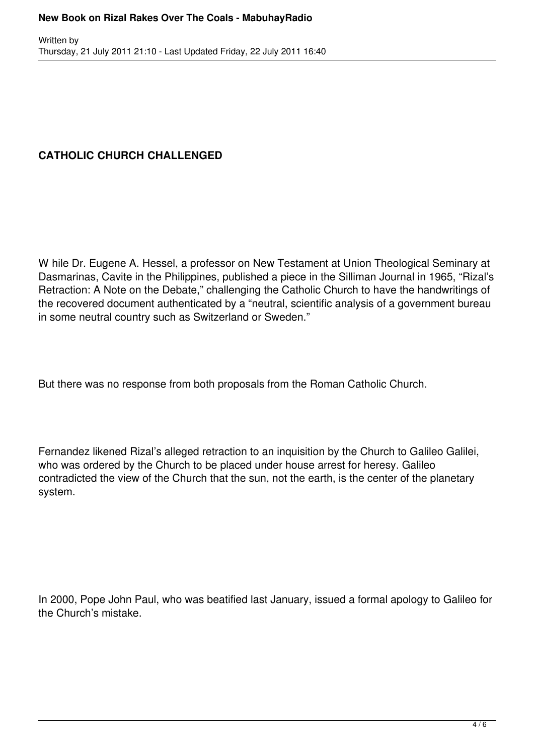# **CATHOLIC CHURCH CHALLENGED**

W hile Dr. Eugene A. Hessel, a professor on New Testament at Union Theological Seminary at Dasmarinas, Cavite in the Philippines, published a piece in the Silliman Journal in 1965, "Rizal's Retraction: A Note on the Debate," challenging the Catholic Church to have the handwritings of the recovered document authenticated by a "neutral, scientific analysis of a government bureau in some neutral country such as Switzerland or Sweden."

But there was no response from both proposals from the Roman Catholic Church.

Fernandez likened Rizal's alleged retraction to an inquisition by the Church to Galileo Galilei, who was ordered by the Church to be placed under house arrest for heresy. Galileo contradicted the view of the Church that the sun, not the earth, is the center of the planetary system.

In 2000, Pope John Paul, who was beatified last January, issued a formal apology to Galileo for the Church's mistake.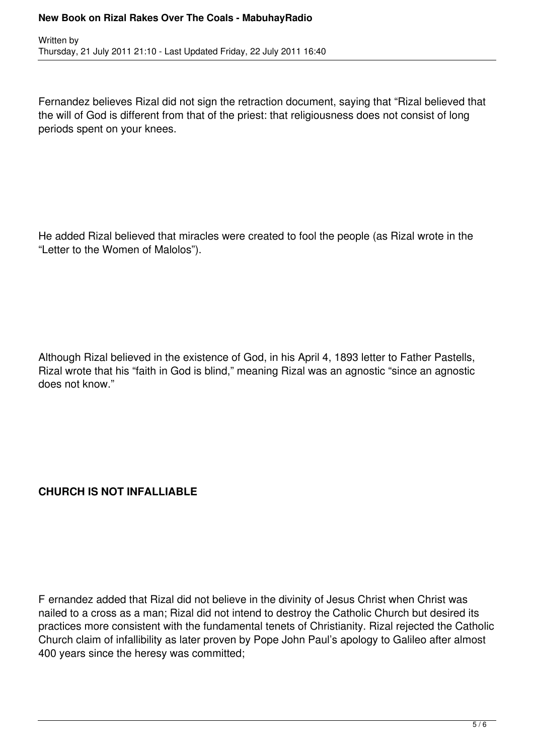### **New Book on Rizal Rakes Over The Coals - MabuhayRadio**

Written by Thursday, 21 July 2011 21:10 - Last Updated Friday, 22 July 2011 16:40

Fernandez believes Rizal did not sign the retraction document, saying that "Rizal believed that the will of God is different from that of the priest: that religiousness does not consist of long periods spent on your knees.

He added Rizal believed that miracles were created to fool the people (as Rizal wrote in the "Letter to the Women of Malolos").

Although Rizal believed in the existence of God, in his April 4, 1893 letter to Father Pastells, Rizal wrote that his "faith in God is blind," meaning Rizal was an agnostic "since an agnostic does not know."

### **CHURCH IS NOT INFALLIABLE**

F ernandez added that Rizal did not believe in the divinity of Jesus Christ when Christ was nailed to a cross as a man; Rizal did not intend to destroy the Catholic Church but desired its practices more consistent with the fundamental tenets of Christianity. Rizal rejected the Catholic Church claim of infallibility as later proven by Pope John Paul's apology to Galileo after almost 400 years since the heresy was committed;